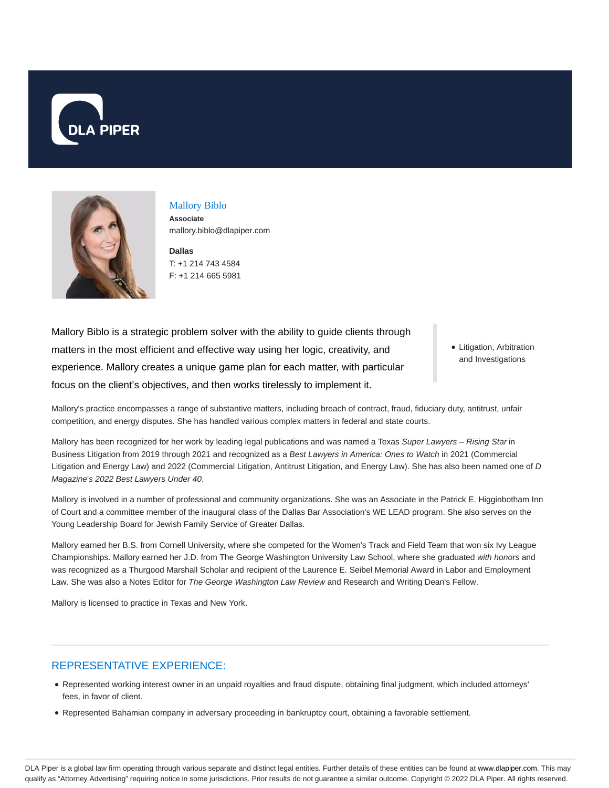



# Mallory Biblo

**Associate** mallory.biblo@dlapiper.com

**Dallas** T: +1 214 743 4584 F: +1 214 665 5981

Mallory Biblo is a strategic problem solver with the ability to guide clients through matters in the most efficient and effective way using her logic, creativity, and experience. Mallory creates a unique game plan for each matter, with particular focus on the client's objectives, and then works tirelessly to implement it.

• Litigation, Arbitration and Investigations

Mallory's practice encompasses a range of substantive matters, including breach of contract, fraud, fiduciary duty, antitrust, unfair competition, and energy disputes. She has handled various complex matters in federal and state courts.

Mallory has been recognized for her work by leading legal publications and was named a Texas Super Lawyers - Rising Star in Business Litigation from 2019 through 2021 and recognized as a Best Lawyers in America: Ones to Watch in 2021 (Commercial Litigation and Energy Law) and 2022 (Commercial Litigation, Antitrust Litigation, and Energy Law). She has also been named one of D Magazine's 2022 Best Lawyers Under 40.

Mallory is involved in a number of professional and community organizations. She was an Associate in the Patrick E. Higginbotham Inn of Court and a committee member of the inaugural class of the Dallas Bar Association's WE LEAD program. She also serves on the Young Leadership Board for Jewish Family Service of Greater Dallas.

Mallory earned her B.S. from Cornell University, where she competed for the Women's Track and Field Team that won six Ivy League Championships. Mallory earned her J.D. from The George Washington University Law School, where she graduated with honors and was recognized as a Thurgood Marshall Scholar and recipient of the Laurence E. Seibel Memorial Award in Labor and Employment Law. She was also a Notes Editor for The George Washington Law Review and Research and Writing Dean's Fellow.

Mallory is licensed to practice in Texas and New York.

# REPRESENTATIVE EXPERIENCE:

- Represented working interest owner in an unpaid royalties and fraud dispute, obtaining final judgment, which included attorneys' fees, in favor of client.
- Represented Bahamian company in adversary proceeding in bankruptcy court, obtaining a favorable settlement.

DLA Piper is a global law firm operating through various separate and distinct legal entities. Further details of these entities can be found at www.dlapiper.com. This may qualify as "Attorney Advertising" requiring notice in some jurisdictions. Prior results do not guarantee a similar outcome. Copyright © 2022 DLA Piper. All rights reserved.